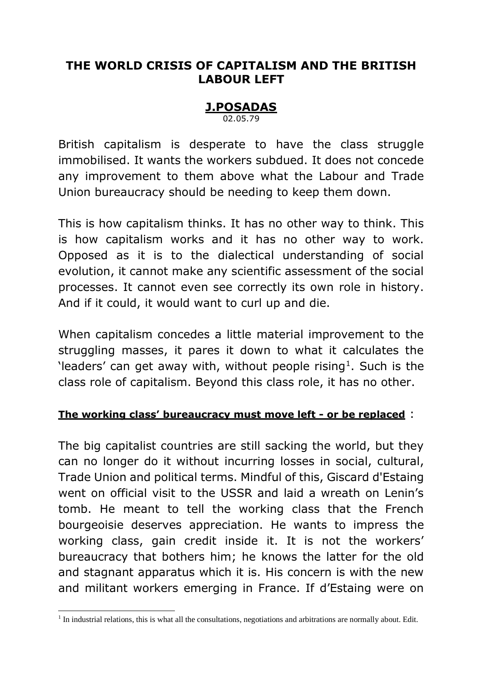## **THE WORLD CRISIS OF CAPITALISM AND THE BRITISH LABOUR LEFT**

## **J.POSADAS**

02.05.79

British capitalism is desperate to have the class struggle immobilised. It wants the workers subdued. It does not concede any improvement to them above what the Labour and Trade Union bureaucracy should be needing to keep them down.

This is how capitalism thinks. It has no other way to think. This is how capitalism works and it has no other way to work. Opposed as it is to the dialectical understanding of social evolution, it cannot make any scientific assessment of the social processes. It cannot even see correctly its own role in history. And if it could, it would want to curl up and die.

When capitalism concedes a little material improvement to the struggling masses, it pares it down to what it calculates the 'leaders' can get away with, without people rising<sup>1</sup>. Such is the class role of capitalism. Beyond this class role, it has no other.

### **The working class' bureaucracy must move left - or be replaced** :

The big capitalist countries are still sacking the world, but they can no longer do it without incurring losses in social, cultural, Trade Union and political terms. Mindful of this, Giscard d'Estaing went on official visit to the USSR and laid a wreath on Lenin's tomb. He meant to tell the working class that the French bourgeoisie deserves appreciation. He wants to impress the working class, gain credit inside it. It is not the workers' bureaucracy that bothers him; he knows the latter for the old and stagnant apparatus which it is. His concern is with the new and militant workers emerging in France. If d'Estaing were on

<sup>-</sup> $<sup>1</sup>$  In industrial relations, this is what all the consultations, negotiations and arbitrations are normally about. Edit.</sup>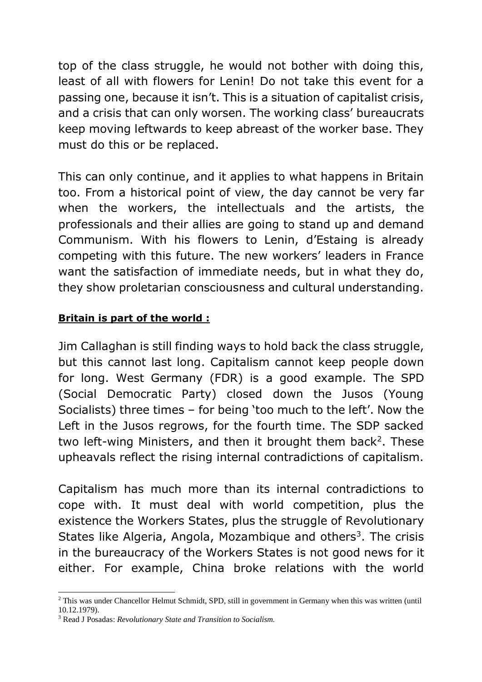top of the class struggle, he would not bother with doing this, least of all with flowers for Lenin! Do not take this event for a passing one, because it isn't. This is a situation of capitalist crisis, and a crisis that can only worsen. The working class' bureaucrats keep moving leftwards to keep abreast of the worker base. They must do this or be replaced.

This can only continue, and it applies to what happens in Britain too. From a historical point of view, the day cannot be very far when the workers, the intellectuals and the artists, the professionals and their allies are going to stand up and demand Communism. With his flowers to Lenin, d'Estaing is already competing with this future. The new workers' leaders in France want the satisfaction of immediate needs, but in what they do, they show proletarian consciousness and cultural understanding.

### **Britain is part of the world :**

Jim Callaghan is still finding ways to hold back the class struggle, but this cannot last long. Capitalism cannot keep people down for long. West Germany (FDR) is a good example. The SPD (Social Democratic Party) closed down the Jusos (Young Socialists) three times – for being 'too much to the left'. Now the Left in the Jusos regrows, for the fourth time. The SDP sacked two left-wing Ministers, and then it brought them back<sup>2</sup>. These upheavals reflect the rising internal contradictions of capitalism.

Capitalism has much more than its internal contradictions to cope with. It must deal with world competition, plus the existence the Workers States, plus the struggle of Revolutionary States like Algeria, Angola, Mozambique and others<sup>3</sup>. The crisis in the bureaucracy of the Workers States is not good news for it either. For example, China broke relations with the world

 $\overline{a}$ 

<sup>&</sup>lt;sup>2</sup> This was under Chancellor Helmut Schmidt, SPD, still in government in Germany when this was written (until 10.12.1979).

<sup>3</sup> Read J Posadas: *Revolutionary State and Transition to Socialism.*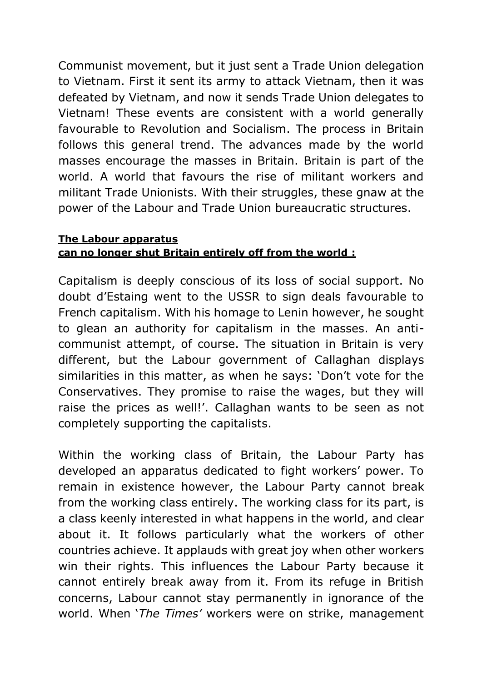Communist movement, but it just sent a Trade Union delegation to Vietnam. First it sent its army to attack Vietnam, then it was defeated by Vietnam, and now it sends Trade Union delegates to Vietnam! These events are consistent with a world generally favourable to Revolution and Socialism. The process in Britain follows this general trend. The advances made by the world masses encourage the masses in Britain. Britain is part of the world. A world that favours the rise of militant workers and militant Trade Unionists. With their struggles, these gnaw at the power of the Labour and Trade Union bureaucratic structures.

#### **The Labour apparatus can no longer shut Britain entirely off from the world :**

Capitalism is deeply conscious of its loss of social support. No doubt d'Estaing went to the USSR to sign deals favourable to French capitalism. With his homage to Lenin however, he sought to glean an authority for capitalism in the masses. An anticommunist attempt, of course. The situation in Britain is very different, but the Labour government of Callaghan displays similarities in this matter, as when he says: 'Don't vote for the Conservatives. They promise to raise the wages, but they will raise the prices as well!'. Callaghan wants to be seen as not completely supporting the capitalists.

Within the working class of Britain, the Labour Party has developed an apparatus dedicated to fight workers' power. To remain in existence however, the Labour Party cannot break from the working class entirely. The working class for its part, is a class keenly interested in what happens in the world, and clear about it. It follows particularly what the workers of other countries achieve. It applauds with great joy when other workers win their rights. This influences the Labour Party because it cannot entirely break away from it. From its refuge in British concerns, Labour cannot stay permanently in ignorance of the world. When '*The Times'* workers were on strike, management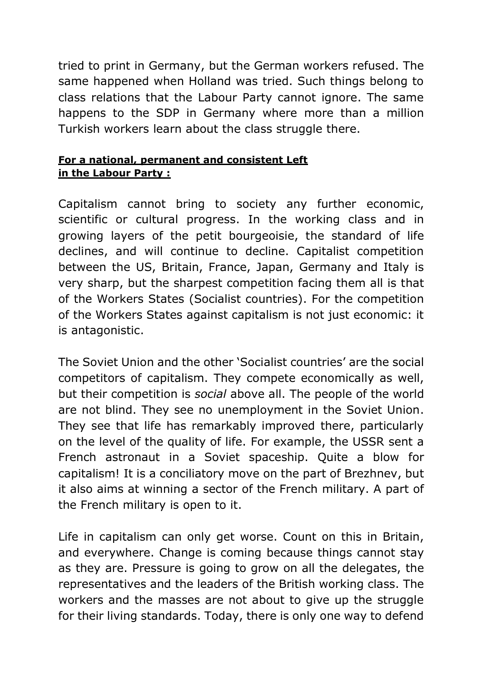tried to print in Germany, but the German workers refused. The same happened when Holland was tried. Such things belong to class relations that the Labour Party cannot ignore. The same happens to the SDP in Germany where more than a million Turkish workers learn about the class struggle there.

### **For a national, permanent and consistent Left in the Labour Party :**

Capitalism cannot bring to society any further economic, scientific or cultural progress. In the working class and in growing layers of the petit bourgeoisie, the standard of life declines, and will continue to decline. Capitalist competition between the US, Britain, France, Japan, Germany and Italy is very sharp, but the sharpest competition facing them all is that of the Workers States (Socialist countries). For the competition of the Workers States against capitalism is not just economic: it is antagonistic.

The Soviet Union and the other 'Socialist countries' are the social competitors of capitalism. They compete economically as well, but their competition is *social* above all. The people of the world are not blind. They see no unemployment in the Soviet Union. They see that life has remarkably improved there, particularly on the level of the quality of life. For example, the USSR sent a French astronaut in a Soviet spaceship. Quite a blow for capitalism! It is a conciliatory move on the part of Brezhnev, but it also aims at winning a sector of the French military. A part of the French military is open to it.

Life in capitalism can only get worse. Count on this in Britain, and everywhere. Change is coming because things cannot stay as they are. Pressure is going to grow on all the delegates, the representatives and the leaders of the British working class. The workers and the masses are not about to give up the struggle for their living standards. Today, there is only one way to defend